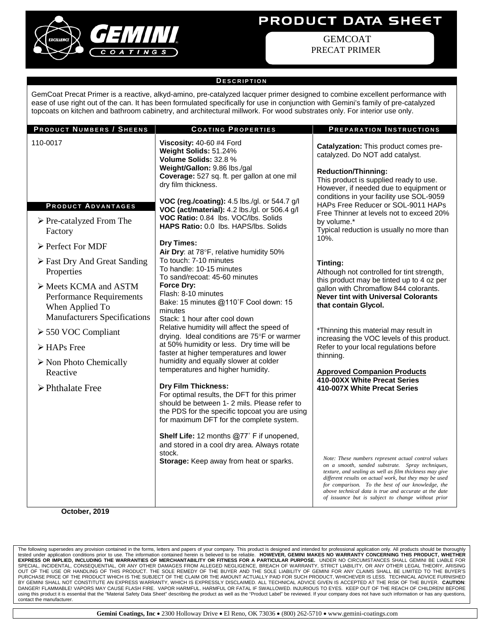

## **PRODUCT DATA SHEET**

 GEMCOAT PRECAT PRIMER

#### **D ESCRIPTION**

GemCoat Precat Primer is a reactive, alkyd-amino, pre-catalyzed lacquer primer designed to combine excellent performance with ease of use right out of the can. It has been formulated specifically for use in conjunction with Gemini's family of pre-catalyzed topcoats on kitchen and bathroom cabinetry, and architectural millwork. For wood substrates only. For interior use only.

| <b>PRODUCT NUMBERS / SHEENS</b>                                                                             | <b>COATING PROPERTIES</b>                                                                                                                                                                                                                                                                                                                                                  | PREPARATION INSTRUCTIONS                                                                                                                                                                                                                                                                                                                                                                                                                                         |
|-------------------------------------------------------------------------------------------------------------|----------------------------------------------------------------------------------------------------------------------------------------------------------------------------------------------------------------------------------------------------------------------------------------------------------------------------------------------------------------------------|------------------------------------------------------------------------------------------------------------------------------------------------------------------------------------------------------------------------------------------------------------------------------------------------------------------------------------------------------------------------------------------------------------------------------------------------------------------|
| 110-0017                                                                                                    | Viscosity: 40-60 #4 Ford<br>Weight Solids: 51.24%<br>Volume Solids: 32.8 %<br>Weight/Gallon: 9.86 lbs./gal<br>Coverage: 527 sq. ft. per gallon at one mil<br>dry film thickness.                                                                                                                                                                                           | Catalyzation: This product comes pre-<br>catalyzed. Do NOT add catalyst.<br><b>Reduction/Thinning:</b><br>This product is supplied ready to use.<br>However, if needed due to equipment or<br>conditions in your facility use SOL-9059                                                                                                                                                                                                                           |
| <b>PRODUCT ADVANTAGES</b><br>$\triangleright$ Pre-catalyzed From The<br>Factory                             | VOC (reg./coating): 4.5 lbs./gl. or 544.7 g/l<br>VOC (act/material): 4.2 lbs./gl. or 506.4 g/l<br>VOC Ratio: 0.84 lbs. VOC/lbs. Solids<br>HAPS Ratio: 0.0 lbs. HAPS/lbs. Solids<br><b>Dry Times:</b>                                                                                                                                                                       | HAPs Free Reducer or SOL-9011 HAPs<br>Free Thinner at levels not to exceed 20%<br>by volume.*<br>Typical reduction is usually no more than<br>10%.                                                                                                                                                                                                                                                                                                               |
| $\triangleright$ Perfect For MDF<br>> Fast Dry And Great Sanding<br>Properties                              | Air Dry: at 78°F, relative humidity 50%<br>To touch: 7-10 minutes<br>To handle: 10-15 minutes<br>To sand/recoat: 45-60 minutes                                                                                                                                                                                                                                             | Tinting:<br>Although not controlled for tint strength,<br>this product may be tinted up to 4 oz per                                                                                                                                                                                                                                                                                                                                                              |
| > Meets KCMA and ASTM<br>Performance Requirements<br>When Applied To<br><b>Manufacturers Specifications</b> | Force Dry:<br>Flash: 8-10 minutes<br>Bake: 15 minutes @110°F Cool down: 15<br>minutes<br>Stack: 1 hour after cool down                                                                                                                                                                                                                                                     | gallon with Chromaflow 844 colorants.<br><b>Never tint with Universal Colorants</b><br>that contain Glycol.                                                                                                                                                                                                                                                                                                                                                      |
| $\geq 550$ VOC Compliant<br>$\triangleright$ HAPs Free                                                      | Relative humidity will affect the speed of<br>drying. Ideal conditions are 75°F or warmer<br>at 50% humidity or less. Dry time will be                                                                                                                                                                                                                                     | *Thinning this material may result in<br>increasing the VOC levels of this product.<br>Refer to your local regulations before                                                                                                                                                                                                                                                                                                                                    |
| $\triangleright$ Non Photo Chemically<br>Reactive                                                           | faster at higher temperatures and lower<br>humidity and equally slower at colder<br>temperatures and higher humidity.                                                                                                                                                                                                                                                      | thinning.<br><b>Approved Companion Products</b>                                                                                                                                                                                                                                                                                                                                                                                                                  |
| $\triangleright$ Phthalate Free                                                                             | <b>Dry Film Thickness:</b><br>For optimal results, the DFT for this primer<br>should be between 1- 2 mils. Please refer to<br>the PDS for the specific topcoat you are using<br>for maximum DFT for the complete system.<br>Shelf Life: 12 months @77° F if unopened,<br>and stored in a cool dry area. Always rotate<br>stock.<br>Storage: Keep away from heat or sparks. | 410-00XX White Precat Series<br>410-007X White Precat Series<br>Note: These numbers represent actual control values<br>on a smooth, sanded substrate. Spray techniques,<br>texture, and sealing as well as film thickness may give<br>different results on actual work, but they may be used<br>for comparison. To the best of our knowledge, the<br>above technical data is true and accurate at the date<br>of issuance but is subject to change without prior |

 **October, 2019**

The following supersedes any provision contained in the forms, letters and papers of your company. This product is designed and intended for professional application only. All products should be thoroughly<br>tested under app PURCHASE PRICE OF THE PRODUCT WHICH IS THE SUBJECT OF THE CLAIM OR THE AMOUNT ACTUALLY PAID FOR SUCH PRODUCT, WHICHEVER IS LESS. TECHNICAL ADVICE FURNISHED BY GEMINI SHALL NOT CONSTITUTE AN EXPRESS WARRANTY, WHICH IS EXPRESSLY DISCLAIMED. ALL TECHNICAL ADVICE GIVEN IS ACCEPTED AT THE RISK OF THE BUYER. **CAUTION**: DANGER! FLAMMABLE! VAPORS MAY CAUSE FLASH FIRE. VAPOR HARMFUL. HARMFUL OR FATAL IF SWALLOWED. INJURIOUS TO EYES. KEEP OUT OF THE REACH OF CHILDREN! BEFORE using this product it is essential that the "Material Safety Data Sheet" describing the product as well as the "Product Label" be reviewed. If your company does not have such information or has any questions, contact the manufacturer.